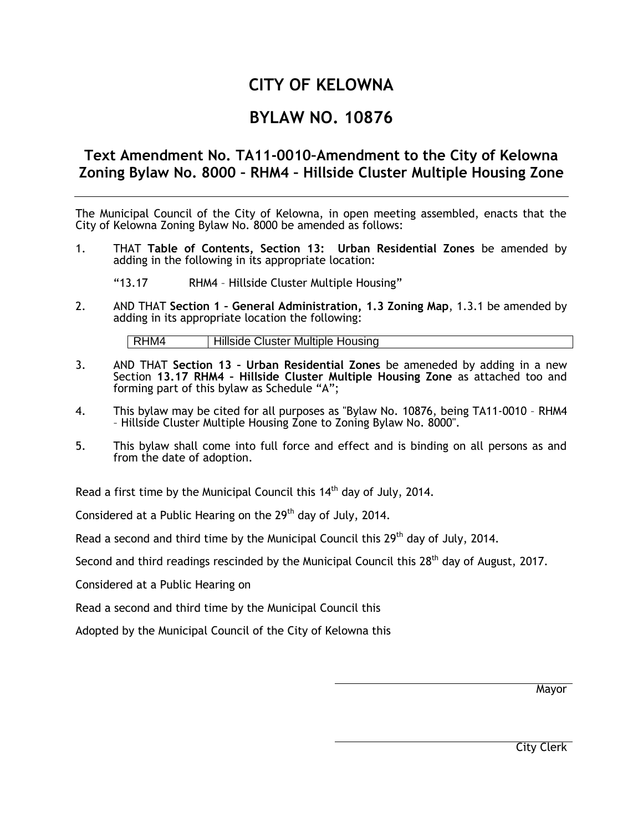# **CITY OF KELOWNA**

# **BYLAW NO. 10876**

# **Text Amendment No. TA11-0010–Amendment to the City of Kelowna Zoning Bylaw No. 8000 – RHM4 – Hillside Cluster Multiple Housing Zone**

The Municipal Council of the City of Kelowna, in open meeting assembled, enacts that the City of Kelowna Zoning Bylaw No. 8000 be amended as follows:

- 1. THAT **Table of Contents, Section 13: Urban Residential Zones** be amended by adding in the following in its appropriate location:
	- "13.17 RHM4 Hillside Cluster Multiple Housing"
- 2. AND THAT **Section 1 – General Administration, 1.3 Zoning Map**, 1.3.1 be amended by adding in its appropriate location the following:

RHM4 | Hillside Cluster Multiple Housing

- 3. AND THAT **Section 13 – Urban Residential Zones** be ameneded by adding in a new Section **13.17 RHM4 – Hillside Cluster Multiple Housing Zone** as attached too and forming part of this bylaw as Schedule "A";
- 4. This bylaw may be cited for all purposes as "Bylaw No. 10876, being TA11-0010 RHM4 – Hillside Cluster Multiple Housing Zone to Zoning Bylaw No. 8000".
- 5. This bylaw shall come into full force and effect and is binding on all persons as and from the date of adoption.

Read a first time by the Municipal Council this  $14<sup>th</sup>$  day of July, 2014.

Considered at a Public Hearing on the  $29<sup>th</sup>$  day of July, 2014.

Read a second and third time by the Municipal Council this  $29<sup>th</sup>$  day of July, 2014.

Second and third readings rescinded by the Municipal Council this 28<sup>th</sup> day of August, 2017.

Considered at a Public Hearing on

Read a second and third time by the Municipal Council this

Adopted by the Municipal Council of the City of Kelowna this

Mayor

City Clerk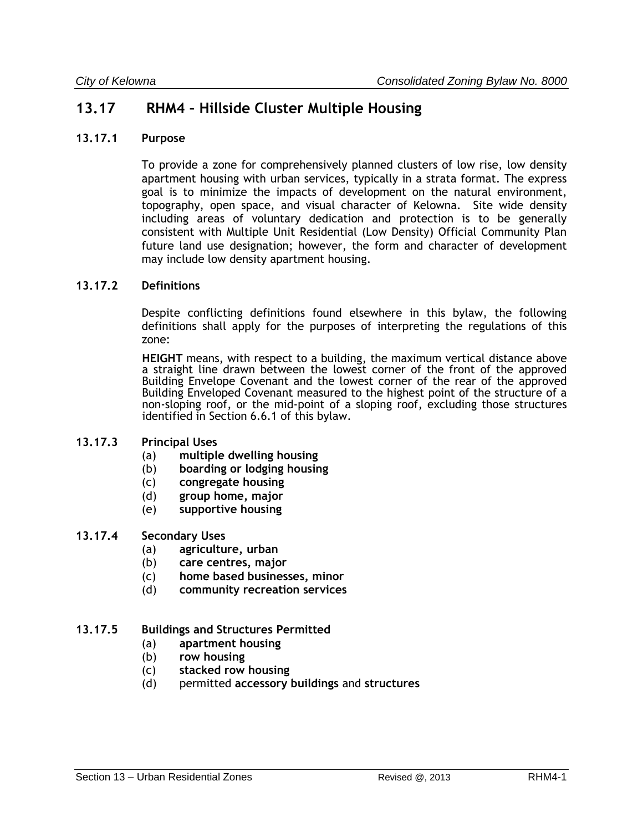# **13.17 RHM4 – Hillside Cluster Multiple Housing**

#### **13.17.1 Purpose**

To provide a zone for comprehensively planned clusters of low rise, low density apartment housing with urban services, typically in a strata format. The express goal is to minimize the impacts of development on the natural environment, topography, open space, and visual character of Kelowna. Site wide density including areas of voluntary dedication and protection is to be generally consistent with Multiple Unit Residential (Low Density) Official Community Plan future land use designation; however, the form and character of development may include low density apartment housing.

#### **13.17.2 Definitions**

Despite conflicting definitions found elsewhere in this bylaw, the following definitions shall apply for the purposes of interpreting the regulations of this zone:

**HEIGHT** means, with respect to a building, the maximum vertical distance above a straight line drawn between the lowest corner of the front of the approved Building Envelope Covenant and the lowest corner of the rear of the approved Building Enveloped Covenant measured to the highest point of the structure of a non-sloping roof, or the mid-point of a sloping roof, excluding those structures identified in Section 6.6.1 of this bylaw.

#### **13.17.3 Principal Uses**

- (a) **multiple dwelling housing**
- (b) **boarding or lodging housing**
- (c) **congregate housing**
- (d) **group home, major**
- (e) **supportive housing**

#### **13.17.4 Secondary Uses**

- (a) **agriculture, urban**
- (b) **care centres, major**
- (c) **home based businesses, minor**
- (d) **community recreation services**

#### **13.17.5 Buildings and Structures Permitted**

- (a) **apartment housing**
- (b) **row housing**
- (c) **stacked row housing**
- (d) permitted **accessory buildings** and **structures**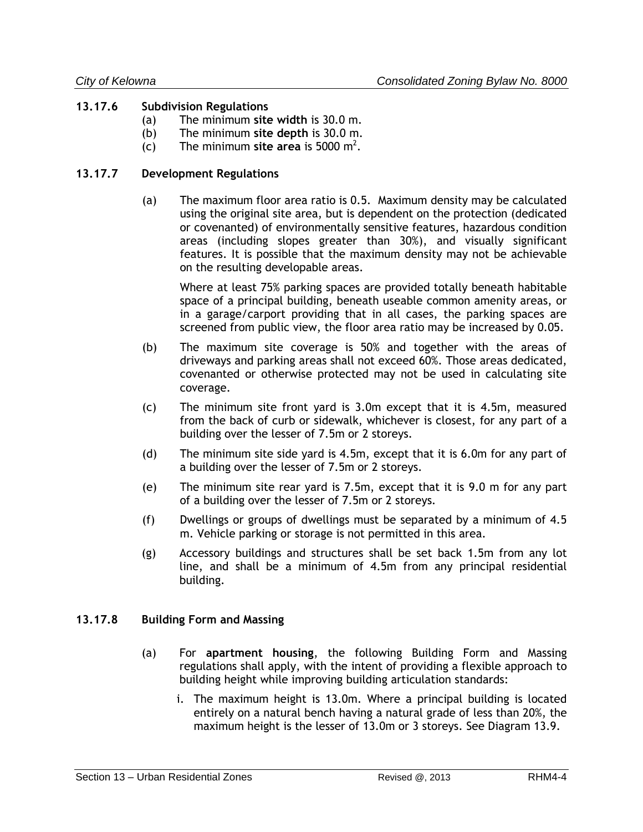### **13.17.6 Subdivision Regulations**

- (a) The minimum **site width** is 30.0 m.
- (b) The minimum **site depth** is 30.0 m.
- (c) The minimum site area is 5000 m<sup>2</sup>.

#### **13.17.7 Development Regulations**

(a) The maximum floor area ratio is 0.5. Maximum density may be calculated using the original site area, but is dependent on the protection (dedicated or covenanted) of environmentally sensitive features, hazardous condition areas (including slopes greater than 30%), and visually significant features. It is possible that the maximum density may not be achievable on the resulting developable areas.

Where at least 75% parking spaces are provided totally beneath habitable space of a principal building, beneath useable common amenity areas, or in a garage/carport providing that in all cases, the parking spaces are screened from public view, the floor area ratio may be increased by 0.05.

- (b) The maximum site coverage is 50% and together with the areas of driveways and parking areas shall not exceed 60%. Those areas dedicated, covenanted or otherwise protected may not be used in calculating site coverage.
- (c) The minimum site front yard is 3.0m except that it is 4.5m, measured from the back of curb or sidewalk, whichever is closest, for any part of a building over the lesser of 7.5m or 2 storeys.
- (d) The minimum site side yard is 4.5m, except that it is 6.0m for any part of a building over the lesser of 7.5m or 2 storeys.
- (e) The minimum site rear yard is 7.5m, except that it is 9.0 m for any part of a building over the lesser of 7.5m or 2 storeys.
- (f) Dwellings or groups of dwellings must be separated by a minimum of 4.5 m. Vehicle parking or storage is not permitted in this area.
- (g) Accessory buildings and structures shall be set back 1.5m from any lot line, and shall be a minimum of 4.5m from any principal residential building.

### **13.17.8 Building Form and Massing**

- (a) For **apartment housing**, the following Building Form and Massing regulations shall apply, with the intent of providing a flexible approach to building height while improving building articulation standards:
	- i. The maximum height is 13.0m. Where a principal building is located entirely on a natural bench having a natural grade of less than 20%, the maximum height is the lesser of 13.0m or 3 storeys. See Diagram 13.9.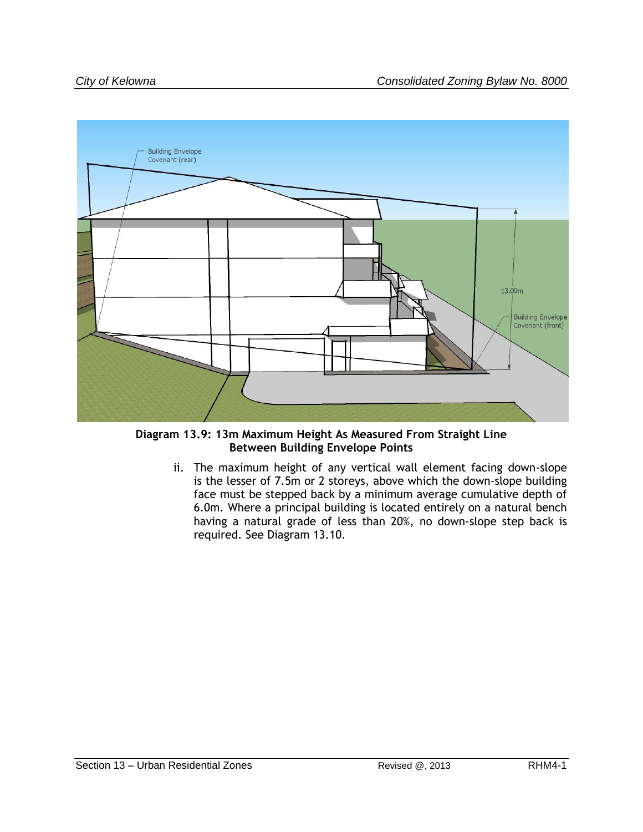

**Diagram 13.9: 13m Maximum Height As Measured From Straight Line Between Building Envelope Points**

ii. The maximum height of any vertical wall element facing down-slope is the lesser of 7.5m or 2 storeys, above which the down-slope building face must be stepped back by a minimum average cumulative depth of 6.0m. Where a principal building is located entirely on a natural bench having a natural grade of less than 20%, no down-slope step back is required. See Diagram 13.10.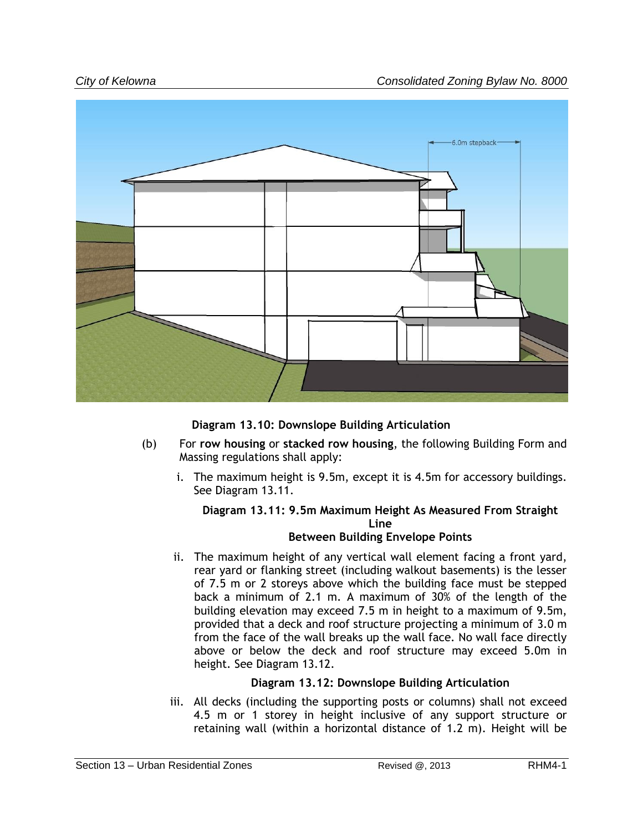

**Diagram 13.10: Downslope Building Articulation**

- (b) For **row housing** or **stacked row housing**, the following Building Form and Massing regulations shall apply:
	- i. The maximum height is 9.5m, except it is 4.5m for accessory buildings. See Diagram 13.11.

# **Diagram 13.11: 9.5m Maximum Height As Measured From Straight Line**

## **Between Building Envelope Points**

ii. The maximum height of any vertical wall element facing a front yard, rear yard or flanking street (including walkout basements) is the lesser of 7.5 m or 2 storeys above which the building face must be stepped back a minimum of 2.1 m. A maximum of 30% of the length of the building elevation may exceed 7.5 m in height to a maximum of 9.5m, provided that a deck and roof structure projecting a minimum of 3.0 m from the face of the wall breaks up the wall face. No wall face directly above or below the deck and roof structure may exceed 5.0m in height. See Diagram 13.12.

## **Diagram 13.12: Downslope Building Articulation**

iii. All decks (including the supporting posts or columns) shall not exceed 4.5 m or 1 storey in height inclusive of any support structure or retaining wall (within a horizontal distance of 1.2 m). Height will be